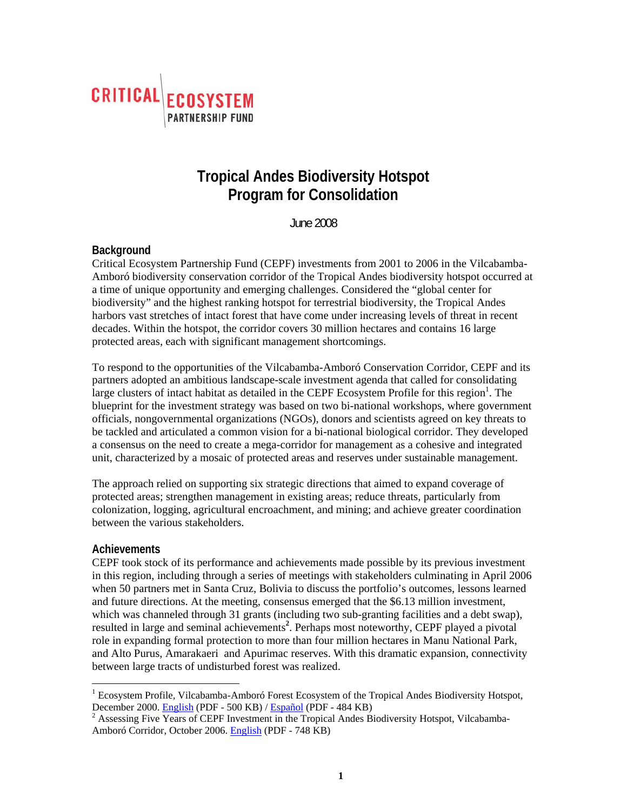

# **Tropical Andes Biodiversity Hotspot Program for Consolidation**

June 2008

## **Background**

Critical Ecosystem Partnership Fund (CEPF) investments from 2001 to 2006 in the Vilcabamba-Amboró biodiversity conservation corridor of the Tropical Andes biodiversity hotspot occurred at a time of unique opportunity and emerging challenges. Considered the "global center for biodiversity" and the highest ranking hotspot for terrestrial biodiversity, the Tropical Andes harbors vast stretches of intact forest that have come under increasing levels of threat in recent decades. Within the hotspot, the corridor covers 30 million hectares and contains 16 large protected areas, each with significant management shortcomings.

To respond to the opportunities of the Vilcabamba-Amboró Conservation Corridor, CEPF and its partners adopted an ambitious landscape-scale investment agenda that called for consolidating large clusters of intact habitat as detailed in the CEPF Ecosystem Profile for this region<sup>1</sup>. The blueprint for the investment strategy was based on two bi-national workshops, where government officials, nongovernmental organizations (NGOs), donors and scientists agreed on key threats to be tackled and articulated a common vision for a bi-national biological corridor. They developed a consensus on the need to create a mega-corridor for management as a cohesive and integrated unit, characterized by a mosaic of protected areas and reserves under sustainable management.

The approach relied on supporting six strategic directions that aimed to expand coverage of protected areas; strengthen management in existing areas; reduce threats, particularly from colonization, logging, agricultural encroachment, and mining; and achieve greater coordination between the various stakeholders.

#### **Achievements**

CEPF took stock of its performance and achievements made possible by its previous investment in this region, including through a series of meetings with stakeholders culminating in April 2006 when 50 partners met in Santa Cruz, Bolivia to discuss the portfolio's outcomes, lessons learned and future directions. At the meeting, consensus emerged that the \$6.13 million investment, which was channeled through 31 grants (including two sub-granting facilities and a debt swap), resulted in large and seminal achievements**<sup>2</sup>** . Perhaps most noteworthy, CEPF played a pivotal role in expanding formal protection to more than four million hectares in Manu National Park, and Alto Purus, Amarakaeri and Apurimac reserves. With this dramatic expansion, connectivity between large tracts of undisturbed forest was realized.

 1 Ecosystem Profile, Vilcabamba-Amboró Forest Ecosystem of the Tropical Andes Biodiversity Hotspot, December 2000. [English](http://www.cepf.net/Documents/Final.TropicalAndes.Vilcabamba-Amboro.EP.pdf) (PDF - 500 KB) [/ Español](http://www.cepf.net/Documents/Final.Spanish.TropicalAndes.Vilcabamba-Amboro.EP.pdf) (PDF - 484 KB) 2

<sup>&</sup>lt;sup>2</sup> Assessing Five Years of CEPF Investment in the Tropical Andes Biodiversity Hotspot, Vilcabamba-Amboró Corridor, October 2006[. English](http://www.cepf.net/Documents/Final_TropicalAndes_assessment_Oct06.pdf) (PDF - 748 KB)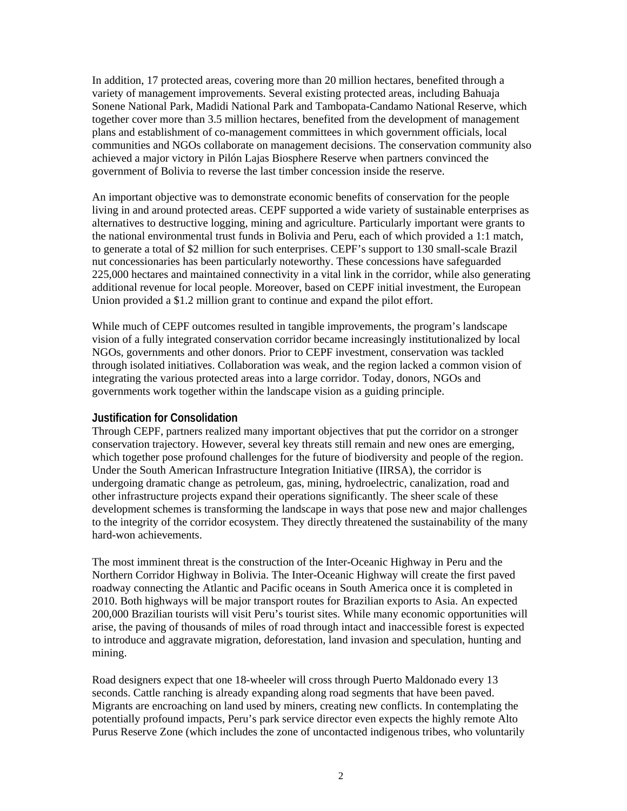In addition, 17 protected areas, covering more than 20 million hectares, benefited through a variety of management improvements. Several existing protected areas, including Bahuaja Sonene National Park, Madidi National Park and Tambopata-Candamo National Reserve, which together cover more than 3.5 million hectares, benefited from the development of management plans and establishment of co-management committees in which government officials, local communities and NGOs collaborate on management decisions. The conservation community also achieved a major victory in Pilón Lajas Biosphere Reserve when partners convinced the government of Bolivia to reverse the last timber concession inside the reserve.

An important objective was to demonstrate economic benefits of conservation for the people living in and around protected areas. CEPF supported a wide variety of sustainable enterprises as alternatives to destructive logging, mining and agriculture. Particularly important were grants to the national environmental trust funds in Bolivia and Peru, each of which provided a 1:1 match, to generate a total of \$2 million for such enterprises. CEPF's support to 130 small-scale Brazil nut concessionaries has been particularly noteworthy. These concessions have safeguarded 225,000 hectares and maintained connectivity in a vital link in the corridor, while also generating additional revenue for local people. Moreover, based on CEPF initial investment, the European Union provided a \$1.2 million grant to continue and expand the pilot effort.

While much of CEPF outcomes resulted in tangible improvements, the program's landscape vision of a fully integrated conservation corridor became increasingly institutionalized by local NGOs, governments and other donors. Prior to CEPF investment, conservation was tackled through isolated initiatives. Collaboration was weak, and the region lacked a common vision of integrating the various protected areas into a large corridor. Today, donors, NGOs and governments work together within the landscape vision as a guiding principle.

#### **Justification for Consolidation**

Through CEPF, partners realized many important objectives that put the corridor on a stronger conservation trajectory. However, several key threats still remain and new ones are emerging, which together pose profound challenges for the future of biodiversity and people of the region. Under the South American Infrastructure Integration Initiative (IIRSA), the corridor is undergoing dramatic change as petroleum, gas, mining, hydroelectric, canalization, road and other infrastructure projects expand their operations significantly. The sheer scale of these development schemes is transforming the landscape in ways that pose new and major challenges to the integrity of the corridor ecosystem. They directly threatened the sustainability of the many hard-won achievements.

The most imminent threat is the construction of the Inter-Oceanic Highway in Peru and the Northern Corridor Highway in Bolivia. The Inter-Oceanic Highway will create the first paved roadway connecting the Atlantic and Pacific oceans in South America once it is completed in 2010. Both highways will be major transport routes for Brazilian exports to Asia. An expected 200,000 Brazilian tourists will visit Peru's tourist sites. While many economic opportunities will arise, the paving of thousands of miles of road through intact and inaccessible forest is expected to introduce and aggravate migration, deforestation, land invasion and speculation, hunting and mining.

Road designers expect that one 18-wheeler will cross through Puerto Maldonado every 13 seconds. Cattle ranching is already expanding along road segments that have been paved. Migrants are encroaching on land used by miners, creating new conflicts. In contemplating the potentially profound impacts, Peru's park service director even expects the highly remote Alto Purus Reserve Zone (which includes the zone of uncontacted indigenous tribes, who voluntarily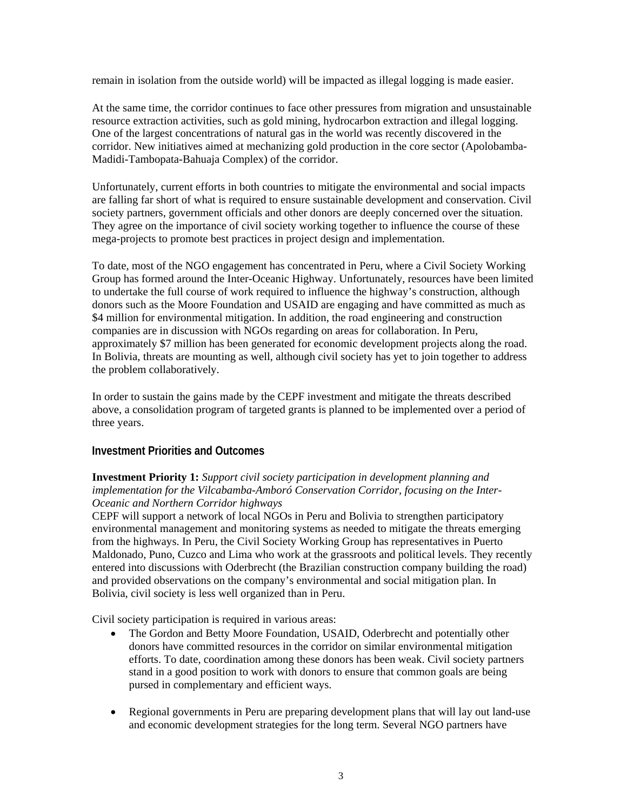remain in isolation from the outside world) will be impacted as illegal logging is made easier.

At the same time, the corridor continues to face other pressures from migration and unsustainable resource extraction activities, such as gold mining, hydrocarbon extraction and illegal logging. One of the largest concentrations of natural gas in the world was recently discovered in the corridor. New initiatives aimed at mechanizing gold production in the core sector (Apolobamba-Madidi-Tambopata-Bahuaja Complex) of the corridor.

Unfortunately, current efforts in both countries to mitigate the environmental and social impacts are falling far short of what is required to ensure sustainable development and conservation. Civil society partners, government officials and other donors are deeply concerned over the situation. They agree on the importance of civil society working together to influence the course of these mega-projects to promote best practices in project design and implementation.

To date, most of the NGO engagement has concentrated in Peru, where a Civil Society Working Group has formed around the Inter-Oceanic Highway. Unfortunately, resources have been limited to undertake the full course of work required to influence the highway's construction, although donors such as the Moore Foundation and USAID are engaging and have committed as much as \$4 million for environmental mitigation. In addition, the road engineering and construction companies are in discussion with NGOs regarding on areas for collaboration. In Peru, approximately \$7 million has been generated for economic development projects along the road. In Bolivia, threats are mounting as well, although civil society has yet to join together to address the problem collaboratively.

In order to sustain the gains made by the CEPF investment and mitigate the threats described above, a consolidation program of targeted grants is planned to be implemented over a period of three years.

# **Investment Priorities and Outcomes**

### **Investment Priority 1:** *Support civil society participation in development planning and implementation for the Vilcabamba-Amboró Conservation Corridor, focusing on the Inter-Oceanic and Northern Corridor highways*

CEPF will support a network of local NGOs in Peru and Bolivia to strengthen participatory environmental management and monitoring systems as needed to mitigate the threats emerging from the highways. In Peru, the Civil Society Working Group has representatives in Puerto Maldonado, Puno, Cuzco and Lima who work at the grassroots and political levels. They recently entered into discussions with Oderbrecht (the Brazilian construction company building the road) and provided observations on the company's environmental and social mitigation plan. In Bolivia, civil society is less well organized than in Peru.

Civil society participation is required in various areas:

- The Gordon and Betty Moore Foundation, USAID, Oderbrecht and potentially other donors have committed resources in the corridor on similar environmental mitigation efforts. To date, coordination among these donors has been weak. Civil society partners stand in a good position to work with donors to ensure that common goals are being pursed in complementary and efficient ways.
- Regional governments in Peru are preparing development plans that will lay out land-use and economic development strategies for the long term. Several NGO partners have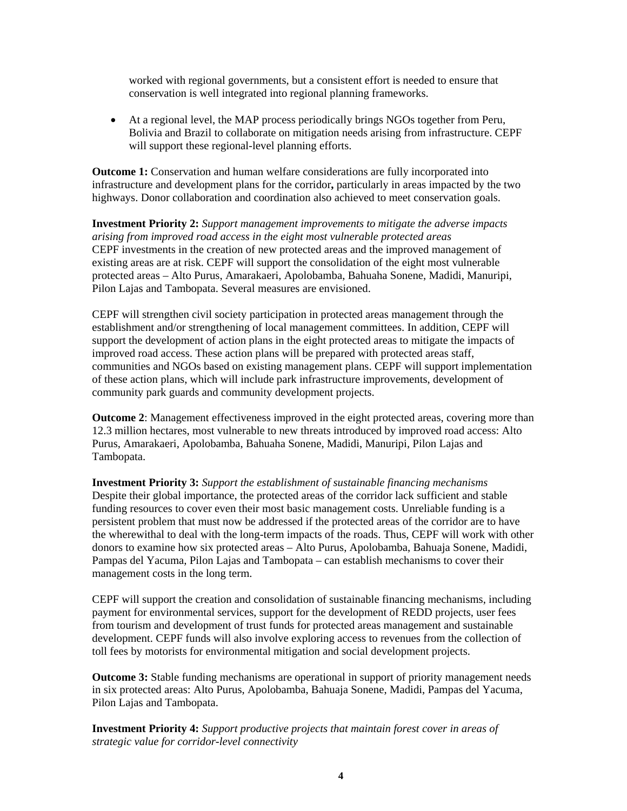worked with regional governments, but a consistent effort is needed to ensure that conservation is well integrated into regional planning frameworks.

• At a regional level, the MAP process periodically brings NGOs together from Peru, Bolivia and Brazil to collaborate on mitigation needs arising from infrastructure. CEPF will support these regional-level planning efforts.

**Outcome 1:** Conservation and human welfare considerations are fully incorporated into infrastructure and development plans for the corridor**,** particularly in areas impacted by the two highways. Donor collaboration and coordination also achieved to meet conservation goals.

**Investment Priority 2:** *Support management improvements to mitigate the adverse impacts arising from improved road access in the eight most vulnerable protected areas*  CEPF investments in the creation of new protected areas and the improved management of existing areas are at risk. CEPF will support the consolidation of the eight most vulnerable protected areas – Alto Purus, Amarakaeri, Apolobamba, Bahuaha Sonene, Madidi, Manuripi, Pilon Lajas and Tambopata. Several measures are envisioned.

CEPF will strengthen civil society participation in protected areas management through the establishment and/or strengthening of local management committees. In addition, CEPF will support the development of action plans in the eight protected areas to mitigate the impacts of improved road access. These action plans will be prepared with protected areas staff, communities and NGOs based on existing management plans. CEPF will support implementation of these action plans, which will include park infrastructure improvements, development of community park guards and community development projects.

**Outcome 2**: Management effectiveness improved in the eight protected areas, covering more than 12.3 million hectares, most vulnerable to new threats introduced by improved road access: Alto Purus, Amarakaeri, Apolobamba, Bahuaha Sonene, Madidi, Manuripi, Pilon Lajas and Tambopata.

**Investment Priority 3:** *Support the establishment of sustainable financing mechanisms*  Despite their global importance, the protected areas of the corridor lack sufficient and stable funding resources to cover even their most basic management costs. Unreliable funding is a persistent problem that must now be addressed if the protected areas of the corridor are to have the wherewithal to deal with the long-term impacts of the roads. Thus, CEPF will work with other donors to examine how six protected areas – Alto Purus, Apolobamba, Bahuaja Sonene, Madidi, Pampas del Yacuma, Pilon Lajas and Tambopata – can establish mechanisms to cover their management costs in the long term.

CEPF will support the creation and consolidation of sustainable financing mechanisms, including payment for environmental services, support for the development of REDD projects, user fees from tourism and development of trust funds for protected areas management and sustainable development. CEPF funds will also involve exploring access to revenues from the collection of toll fees by motorists for environmental mitigation and social development projects.

**Outcome 3:** Stable funding mechanisms are operational in support of priority management needs in six protected areas: Alto Purus, Apolobamba, Bahuaja Sonene, Madidi, Pampas del Yacuma, Pilon Lajas and Tambopata.

**Investment Priority 4:** *Support productive projects that maintain forest cover in areas of strategic value for corridor-level connectivity*